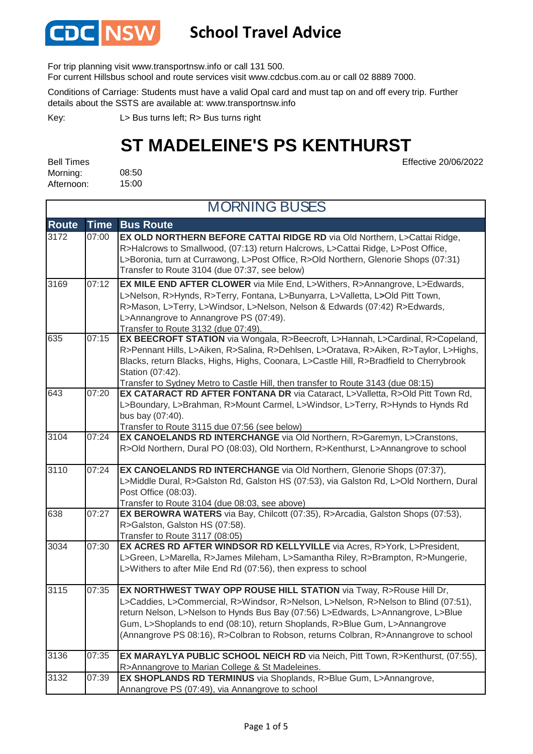

#### **School Travel Advice**

For trip planning visit www.transportnsw.info or call 131 500.

For current Hillsbus school and route services visit www.cdcbus.com.au or call 02 8889 7000.

Conditions of Carriage: Students must have a valid Opal card and must tap on and off every trip. Further details about the SSTS are available at: www.transportnsw.info

L> Bus turns left; R> Bus turns right Key:

### **ST MADELEINE'S PS KENTHURST**

08:50 15:00 Bell Times Morning: Afternoon:

Effective 20/06/2022

| <b>MORNING BUSES</b> |             |                                                                                                                                                                                                                                                                                                                                                                                                                     |
|----------------------|-------------|---------------------------------------------------------------------------------------------------------------------------------------------------------------------------------------------------------------------------------------------------------------------------------------------------------------------------------------------------------------------------------------------------------------------|
| <b>Route</b>         | <b>Time</b> | <b>Bus Route</b>                                                                                                                                                                                                                                                                                                                                                                                                    |
| 3172                 | 07:00       | EX OLD NORTHERN BEFORE CATTAI RIDGE RD via Old Northern, L>Cattai Ridge,<br>R>Halcrows to Smallwood, (07:13) return Halcrows, L>Cattai Ridge, L>Post Office,<br>L>Boronia, turn at Currawong, L>Post Office, R>Old Northern, Glenorie Shops (07:31)<br>Transfer to Route 3104 (due 07:37, see below)                                                                                                                |
| 3169                 | 07:12       | EX MILE END AFTER CLOWER via Mile End, L>Withers, R>Annangrove, L>Edwards,<br>L>Nelson, R>Hynds, R>Terry, Fontana, L>Bunyarra, L>Valletta, L>Old Pitt Town,<br>R>Mason, L>Terry, L>Windsor, L>Nelson, Nelson & Edwards (07:42) R>Edwards,<br>L>Annangrove to Annangrove PS (07:49).<br>Transfer to Route 3132 (due 07:49).                                                                                          |
| 635                  | 07:15       | EX BEECROFT STATION via Wongala, R>Beecroft, L>Hannah, L>Cardinal, R>Copeland,<br>R>Pennant Hills, L>Aiken, R>Salina, R>Dehlsen, L>Oratava, R>Aiken, R>Taylor, L>Highs,<br>Blacks, return Blacks, Highs, Highs, Coonara, L>Castle Hill, R>Bradfield to Cherrybrook<br>Station (07:42).<br>Transfer to Sydney Metro to Castle Hill, then transfer to Route 3143 (due 08:15)                                          |
| 643                  | 07:20       | EX CATARACT RD AFTER FONTANA DR via Cataract, L>Valletta, R>Old Pitt Town Rd,<br>L>Boundary, L>Brahman, R>Mount Carmel, L>Windsor, L>Terry, R>Hynds to Hynds Rd<br>bus bay (07:40).<br>Transfer to Route 3115 due 07:56 (see below)                                                                                                                                                                                 |
| 3104                 | 07:24       | EX CANOELANDS RD INTERCHANGE via Old Northern, R>Garemyn, L>Cranstons,<br>R>Old Northern, Dural PO (08:03), Old Northern, R>Kenthurst, L>Annangrove to school                                                                                                                                                                                                                                                       |
| 3110                 | 07:24       | EX CANOELANDS RD INTERCHANGE via Old Northern, Glenorie Shops (07:37),<br>L>Middle Dural, R>Galston Rd, Galston HS (07:53), via Galston Rd, L>Old Northern, Dural<br>Post Office (08:03).<br>Transfer to Route 3104 (due 08:03, see above)                                                                                                                                                                          |
| 638                  | 07:27       | EX BEROWRA WATERS via Bay, Chilcott (07:35), R>Arcadia, Galston Shops (07:53),<br>R>Galston, Galston HS (07:58).<br>Transfer to Route 3117 (08:05)                                                                                                                                                                                                                                                                  |
| 3034                 | 07:30       | EX ACRES RD AFTER WINDSOR RD KELLYVILLE via Acres, R>York, L>President,<br>L>Green, L>Marella, R>James Mileham, L>Samantha Riley, R>Brampton, R>Mungerie,<br>L>Withers to after Mile End Rd (07:56), then express to school                                                                                                                                                                                         |
| 3115                 | 07:35       | EX NORTHWEST TWAY OPP ROUSE HILL STATION via Tway, R>Rouse Hill Dr,<br>L>Caddies, L>Commercial, R>Windsor, R>Nelson, L>Nelson, R>Nelson to Blind (07:51),<br>return Nelson, L>Nelson to Hynds Bus Bay (07:56) L>Edwards, L>Annangrove, L>Blue<br>Gum, L>Shoplands to end (08:10), return Shoplands, R>Blue Gum, L>Annangrove<br>(Annangrove PS 08:16), R>Colbran to Robson, returns Colbran, R>Annangrove to school |
| 3136                 | 07:35       | EX MARAYLYA PUBLIC SCHOOL NEICH RD via Neich, Pitt Town, R>Kenthurst, (07:55),<br>R>Annangrove to Marian College & St Madeleines.                                                                                                                                                                                                                                                                                   |
| 3132                 | 07:39       | EX SHOPLANDS RD TERMINUS via Shoplands, R>Blue Gum, L>Annangrove,<br>Annangrove PS (07:49), via Annangrove to school                                                                                                                                                                                                                                                                                                |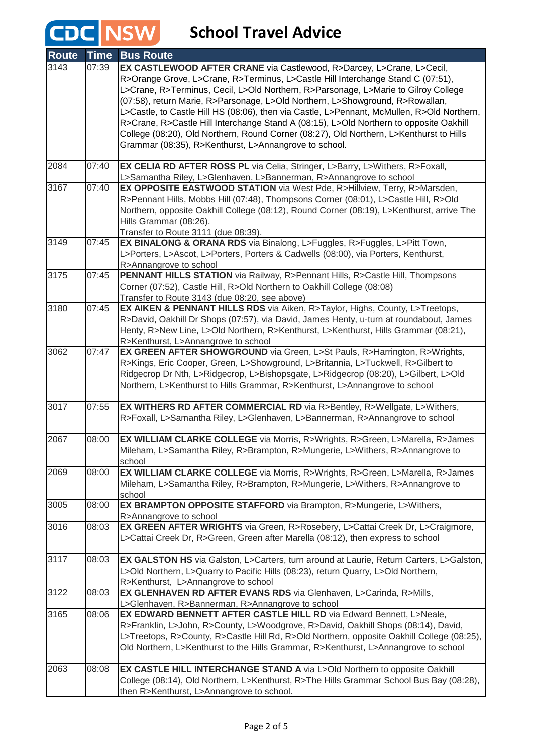| <b>Route</b> | <b>Time</b> | <b>Bus Route</b>                                                                                                                                                                                                                                                                                                                                                                                                                                                                                                                                                                                                                                                            |
|--------------|-------------|-----------------------------------------------------------------------------------------------------------------------------------------------------------------------------------------------------------------------------------------------------------------------------------------------------------------------------------------------------------------------------------------------------------------------------------------------------------------------------------------------------------------------------------------------------------------------------------------------------------------------------------------------------------------------------|
| 3143         | 07:39       | EX CASTLEWOOD AFTER CRANE via Castlewood, R>Darcey, L>Crane, L>Cecil,<br>R>Orange Grove, L>Crane, R>Terminus, L>Castle Hill Interchange Stand C (07:51),<br>L>Crane, R>Terminus, Cecil, L>Old Northern, R>Parsonage, L>Marie to Gilroy College<br>(07:58), return Marie, R>Parsonage, L>Old Northern, L>Showground, R>Rowallan,<br>L>Castle, to Castle Hill HS (08:06), then via Castle, L>Pennant, McMullen, R>Old Northern,<br>R>Crane, R>Castle Hill Interchange Stand A (08:15), L>Old Northern to opposite Oakhill<br>College (08:20), Old Northern, Round Corner (08:27), Old Northern, L>Kenthurst to Hills<br>Grammar (08:35), R>Kenthurst, L>Annangrove to school. |
| 2084         | 07:40       | EX CELIA RD AFTER ROSS PL via Celia, Stringer, L>Barry, L>Withers, R>Foxall,                                                                                                                                                                                                                                                                                                                                                                                                                                                                                                                                                                                                |
| 3167         | 07:40       | L>Samantha Riley, L>Glenhaven, L>Bannerman, R>Annangrove to school<br>EX OPPOSITE EASTWOOD STATION via West Pde, R>Hillview, Terry, R>Marsden,<br>R>Pennant Hills, Mobbs Hill (07:48), Thompsons Corner (08:01), L>Castle Hill, R>Old<br>Northern, opposite Oakhill College (08:12), Round Corner (08:19), L>Kenthurst, arrive The<br>Hills Grammar (08:26).<br>Transfer to Route 3111 (due 08:39).                                                                                                                                                                                                                                                                         |
| 3149         | 07:45       | EX BINALONG & ORANA RDS via Binalong, L>Fuggles, R>Fuggles, L>Pitt Town,<br>L>Porters, L>Ascot, L>Porters, Porters & Cadwells (08:00), via Porters, Kenthurst,<br>R>Annangrove to school                                                                                                                                                                                                                                                                                                                                                                                                                                                                                    |
| 3175         | 07:45       | PENNANT HILLS STATION via Railway, R>Pennant Hills, R>Castle Hill, Thompsons<br>Corner (07:52), Castle Hill, R>Old Northern to Oakhill College (08:08)<br>Transfer to Route 3143 (due 08:20, see above)                                                                                                                                                                                                                                                                                                                                                                                                                                                                     |
| 3180         | 07:45       | EX AIKEN & PENNANT HILLS RDS via Aiken, R>Taylor, Highs, County, L>Treetops,<br>R>David, Oakhill Dr Shops (07:57), via David, James Henty, u-turn at roundabout, James<br>Henty, R>New Line, L>Old Northern, R>Kenthurst, L>Kenthurst, Hills Grammar (08:21),<br>R>Kenthurst, L>Annangrove to school                                                                                                                                                                                                                                                                                                                                                                        |
| 3062         | 07:47       | EX GREEN AFTER SHOWGROUND via Green, L>St Pauls, R>Harrington, R>Wrights,<br>R>Kings, Eric Cooper, Green, L>Showground, L>Britannia, L>Tuckwell, R>Gilbert to<br>Ridgecrop Dr Nth, L>Ridgecrop, L>Bishopsgate, L>Ridgecrop (08:20), L>Gilbert, L>Old<br>Northern, L>Kenthurst to Hills Grammar, R>Kenthurst, L>Annangrove to school                                                                                                                                                                                                                                                                                                                                         |
| 3017         | 07:55       | EX WITHERS RD AFTER COMMERCIAL RD via R>Bentley, R>Wellgate, L>Withers,<br>R>Foxall, L>Samantha Riley, L>Glenhaven, L>Bannerman, R>Annangrove to school                                                                                                                                                                                                                                                                                                                                                                                                                                                                                                                     |
| 2067         | 08:00       | EX WILLIAM CLARKE COLLEGE via Morris, R>Wrights, R>Green, L>Marella, R>James<br>Mileham, L>Samantha Riley, R>Brampton, R>Mungerie, L>Withers, R>Annangrove to<br>school                                                                                                                                                                                                                                                                                                                                                                                                                                                                                                     |
| 2069         | 08:00       | EX WILLIAM CLARKE COLLEGE via Morris, R>Wrights, R>Green, L>Marella, R>James<br>Mileham, L>Samantha Riley, R>Brampton, R>Mungerie, L>Withers, R>Annangrove to<br>school                                                                                                                                                                                                                                                                                                                                                                                                                                                                                                     |
| 3005         | 08:00       | EX BRAMPTON OPPOSITE STAFFORD via Brampton, R>Mungerie, L>Withers,<br>R>Annangrove to school                                                                                                                                                                                                                                                                                                                                                                                                                                                                                                                                                                                |
| 3016         | 08:03       | EX GREEN AFTER WRIGHTS via Green, R>Rosebery, L>Cattai Creek Dr, L>Craigmore,<br>L>Cattai Creek Dr, R>Green, Green after Marella (08:12), then express to school                                                                                                                                                                                                                                                                                                                                                                                                                                                                                                            |
| 3117         | 08:03       | EX GALSTON HS via Galston, L>Carters, turn around at Laurie, Return Carters, L>Galston,<br>L>Old Northern, L>Quarry to Pacific Hills (08:23), return Quarry, L>Old Northern,<br>R>Kenthurst, L>Annangrove to school                                                                                                                                                                                                                                                                                                                                                                                                                                                         |
| 3122         | 08:03       | EX GLENHAVEN RD AFTER EVANS RDS via Glenhaven, L>Carinda, R>Mills,<br>L>Glenhaven, R>Bannerman, R>Annangrove to school                                                                                                                                                                                                                                                                                                                                                                                                                                                                                                                                                      |
| 3165         | 08:06       | EX EDWARD BENNETT AFTER CASTLE HILL RD via Edward Bennett, L>Neale,<br>R>Franklin, L>John, R>County, L>Woodgrove, R>David, Oakhill Shops (08:14), David,<br>L>Treetops, R>County, R>Castle Hill Rd, R>Old Northern, opposite Oakhill College (08:25),<br>Old Northern, L>Kenthurst to the Hills Grammar, R>Kenthurst, L>Annangrove to school                                                                                                                                                                                                                                                                                                                                |
| 2063         | 08:08       | EX CASTLE HILL INTERCHANGE STAND A via L>Old Northern to opposite Oakhill<br>College (08:14), Old Northern, L>Kenthurst, R>The Hills Grammar School Bus Bay (08:28),<br>then R>Kenthurst, L>Annangrove to school.                                                                                                                                                                                                                                                                                                                                                                                                                                                           |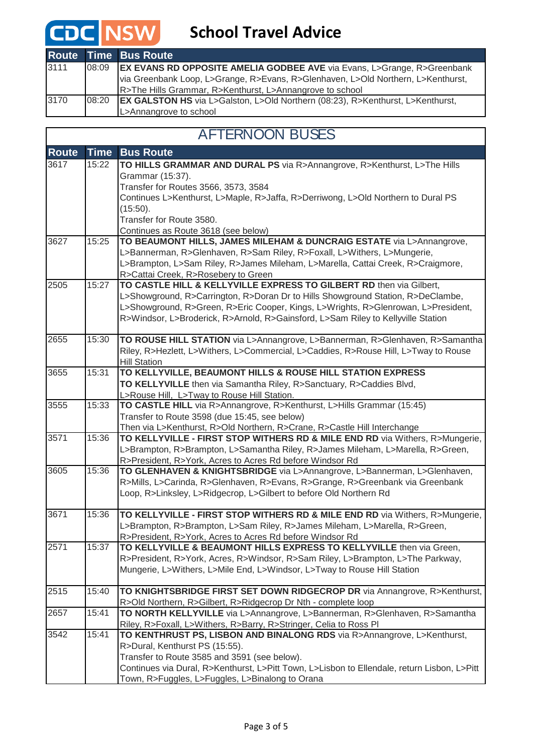|      |       | <b>Route Time Bus Route</b>                                                           |
|------|-------|---------------------------------------------------------------------------------------|
| 3111 | 08:09 | <b>EX EVANS RD OPPOSITE AMELIA GODBEE AVE via Evans, L&gt;Grange, R&gt;Greenbank</b>  |
|      |       | via Greenbank Loop, L>Grange, R>Evans, R>Glenhaven, L>Old Northern, L>Kenthurst,      |
|      |       | R>The Hills Grammar, R>Kenthurst, L>Annangrove to school                              |
| 3170 | 08:20 | <b>EX GALSTON HS</b> via L>Galston, L>Old Northern (08:23), R>Kenthurst, L>Kenthurst, |
|      |       | L>Annangrove to school                                                                |

#### AFTERNOON BUSES

 $\mathbf l$ 

| <b>Route</b> | <b>Time</b> | <b>Bus Route</b>                                                                                                                                           |
|--------------|-------------|------------------------------------------------------------------------------------------------------------------------------------------------------------|
| 3617         | 15:22       | TO HILLS GRAMMAR AND DURAL PS via R>Annangrove, R>Kenthurst, L>The Hills                                                                                   |
|              |             | Grammar (15:37).                                                                                                                                           |
|              |             | Transfer for Routes 3566, 3573, 3584                                                                                                                       |
|              |             | Continues L>Kenthurst, L>Maple, R>Jaffa, R>Derriwong, L>Old Northern to Dural PS                                                                           |
|              |             | (15:50).                                                                                                                                                   |
|              |             | Transfer for Route 3580.                                                                                                                                   |
|              |             | Continues as Route 3618 (see below)                                                                                                                        |
| 3627         | 15:25       | TO BEAUMONT HILLS, JAMES MILEHAM & DUNCRAIG ESTATE via L>Annangrove,                                                                                       |
|              |             | L>Bannerman, R>Glenhaven, R>Sam Riley, R>Foxall, L>Withers, L>Mungerie,                                                                                    |
|              |             | L>Brampton, L>Sam Riley, R>James Mileham, L>Marella, Cattai Creek, R>Craigmore,                                                                            |
|              |             | R>Cattai Creek, R>Rosebery to Green                                                                                                                        |
| 2505         | 15:27       | TO CASTLE HILL & KELLYVILLE EXPRESS TO GILBERT RD then via Gilbert,                                                                                        |
|              |             | L>Showground, R>Carrington, R>Doran Dr to Hills Showground Station, R>DeClambe,                                                                            |
|              |             | L>Showground, R>Green, R>Eric Cooper, Kings, L>Wrights, R>Glenrowan, L>President,                                                                          |
|              |             | R>Windsor, L>Broderick, R>Arnold, R>Gainsford, L>Sam Riley to Kellyville Station                                                                           |
| 2655         | 15:30       | TO ROUSE HILL STATION via L>Annangrove, L>Bannerman, R>Glenhaven, R>Samantha                                                                               |
|              |             | Riley, R>Hezlett, L>Withers, L>Commercial, L>Caddies, R>Rouse Hill, L>Tway to Rouse                                                                        |
|              |             | <b>Hill Station</b>                                                                                                                                        |
| 3655         | 15:31       | TO KELLYVILLE, BEAUMONT HILLS & ROUSE HILL STATION EXPRESS                                                                                                 |
|              |             | TO KELLYVILLE then via Samantha Riley, R>Sanctuary, R>Caddies Blvd,                                                                                        |
|              |             | L>Rouse Hill, L>Tway to Rouse Hill Station.                                                                                                                |
| 3555         | 15:33       | TO CASTLE HILL via R>Annangrove, R>Kenthurst, L>Hills Grammar (15:45)                                                                                      |
|              |             | Transfer to Route 3598 (due 15:45, see below)                                                                                                              |
|              |             | Then via L>Kenthurst, R>Old Northern, R>Crane, R>Castle Hill Interchange                                                                                   |
| 3571         | 15:36       | TO KELLYVILLE - FIRST STOP WITHERS RD & MILE END RD via Withers, R>Mungerie,                                                                               |
|              |             | L>Brampton, R>Brampton, L>Samantha Riley, R>James Mileham, L>Marella, R>Green,                                                                             |
|              |             | R>President, R>York, Acres to Acres Rd before Windsor Rd                                                                                                   |
| 3605         | 15:36       | TO GLENHAVEN & KNIGHTSBRIDGE via L>Annangrove, L>Bannerman, L>Glenhaven,                                                                                   |
|              |             | R>Mills, L>Carinda, R>Glenhaven, R>Evans, R>Grange, R>Greenbank via Greenbank                                                                              |
|              |             | Loop, R>Linksley, L>Ridgecrop, L>Gilbert to before Old Northern Rd                                                                                         |
|              |             |                                                                                                                                                            |
| 3671         | 15:36       | TO KELLYVILLE - FIRST STOP WITHERS RD & MILE END RD via Withers, R>Mungerie,                                                                               |
|              |             | L>Brampton, R>Brampton, L>Sam Riley, R>James Mileham, L>Marella, R>Green,                                                                                  |
| 2571         | 15:37       | R>President, R>York, Acres to Acres Rd before Windsor Rd<br>TO KELLYVILLE & BEAUMONT HILLS EXPRESS TO KELLYVILLE then via Green,                           |
|              |             |                                                                                                                                                            |
|              |             | R>President, R>York, Acres, R>Windsor, R>Sam Riley, L>Brampton, L>The Parkway,<br>Mungerie, L>Withers, L>Mile End, L>Windsor, L>Tway to Rouse Hill Station |
|              |             |                                                                                                                                                            |
| 2515         | 15:40       | TO KNIGHTSBRIDGE FIRST SET DOWN RIDGECROP DR via Annangrove, R>Kenthurst,                                                                                  |
|              |             | R>Old Northern, R>Gilbert, R>Ridgecrop Dr Nth - complete loop                                                                                              |
| 2657         | 15:41       | TO NORTH KELLYVILLE via L>Annangrove, L>Bannerman, R>Glenhaven, R>Samantha                                                                                 |
|              |             | Riley, R>Foxall, L>Withers, R>Barry, R>Stringer, Celia to Ross Pl                                                                                          |
| 3542         | 15:41       | TO KENTHRUST PS, LISBON AND BINALONG RDS via R>Annangrove, L>Kenthurst,                                                                                    |
|              |             | R>Dural, Kenthurst PS (15:55).                                                                                                                             |
|              |             | Transfer to Route 3585 and 3591 (see below).                                                                                                               |
|              |             | Continues via Dural, R>Kenthurst, L>Pitt Town, L>Lisbon to Ellendale, return Lisbon, L>Pitt                                                                |
|              |             | Town, R>Fuggles, L>Fuggles, L>Binalong to Orana                                                                                                            |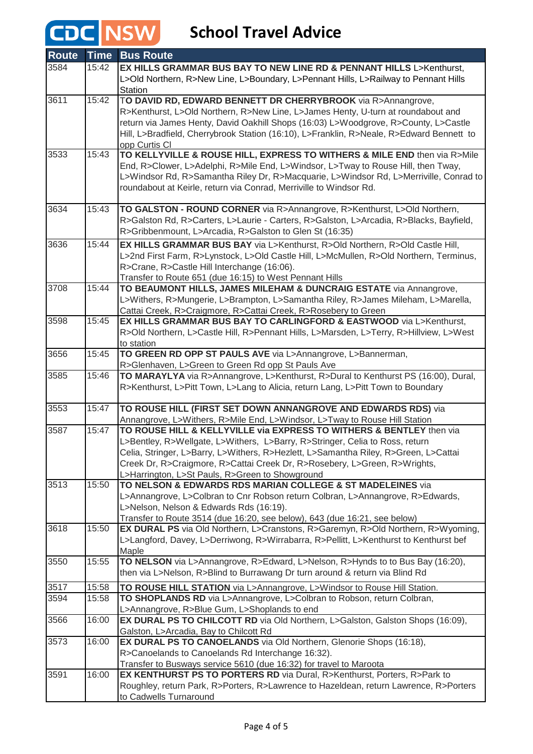| <b>Route</b> | <b>Time</b> | <b>Bus Route</b>                                                                                                                                               |
|--------------|-------------|----------------------------------------------------------------------------------------------------------------------------------------------------------------|
| 3584         | 15:42       | EX HILLS GRAMMAR BUS BAY TO NEW LINE RD & PENNANT HILLS L>Kenthurst,                                                                                           |
|              |             | L>Old Northern, R>New Line, L>Boundary, L>Pennant Hills, L>Railway to Pennant Hills                                                                            |
|              |             | Station                                                                                                                                                        |
| 3611         | 15:42       | TO DAVID RD, EDWARD BENNETT DR CHERRYBROOK via R>Annangrove,                                                                                                   |
|              |             | R>Kenthurst, L>Old Northern, R>New Line, L>James Henty, U-turn at roundabout and                                                                               |
|              |             | return via James Henty, David Oakhill Shops (16:03) L>Woodgrove, R>County, L>Castle                                                                            |
|              |             | Hill, L>Bradfield, Cherrybrook Station (16:10), L>Franklin, R>Neale, R>Edward Bennett to                                                                       |
| 3533         | 15:43       | opp Curtis CI                                                                                                                                                  |
|              |             | TO KELLYVILLE & ROUSE HILL, EXPRESS TO WITHERS & MILE END then via R>Mile<br>End, R>Clower, L>Adelphi, R>Mile End, L>Windsor, L>Tway to Rouse Hill, then Tway, |
|              |             | L>Windsor Rd, R>Samantha Riley Dr, R>Macquarie, L>Windsor Rd, L>Merriville, Conrad to                                                                          |
|              |             | roundabout at Keirle, return via Conrad, Merriville to Windsor Rd.                                                                                             |
|              |             |                                                                                                                                                                |
| 3634         | 15:43       | TO GALSTON - ROUND CORNER via R>Annangrove, R>Kenthurst, L>Old Northern,                                                                                       |
|              |             | R>Galston Rd, R>Carters, L>Laurie - Carters, R>Galston, L>Arcadia, R>Blacks, Bayfield,                                                                         |
|              |             | R>Gribbenmount, L>Arcadia, R>Galston to Glen St (16:35)                                                                                                        |
| 3636         | 15:44       | EX HILLS GRAMMAR BUS BAY via L>Kenthurst, R>Old Northern, R>Old Castle Hill,                                                                                   |
|              |             | L>2nd First Farm, R>Lynstock, L>Old Castle Hill, L>McMullen, R>Old Northern, Terminus,                                                                         |
|              |             | R>Crane, R>Castle Hill Interchange (16:06).                                                                                                                    |
|              |             | Transfer to Route 651 (due 16:15) to West Pennant Hills                                                                                                        |
| 3708         | 15:44       | TO BEAUMONT HILLS, JAMES MILEHAM & DUNCRAIG ESTATE via Annangrove,                                                                                             |
|              |             | L>Withers, R>Mungerie, L>Brampton, L>Samantha Riley, R>James Mileham, L>Marella,                                                                               |
|              |             | Cattai Creek, R>Craigmore, R>Cattai Creek, R>Rosebery to Green                                                                                                 |
| 3598         | 15:45       | EX HILLS GRAMMAR BUS BAY TO CARLINGFORD & EASTWOOD via L>Kenthurst,                                                                                            |
|              |             | R>Old Northern, L>Castle Hill, R>Pennant Hills, L>Marsden, L>Terry, R>Hillview, L>West                                                                         |
|              |             | to station                                                                                                                                                     |
| 3656         | 15:45       | TO GREEN RD OPP ST PAULS AVE via L>Annangrove, L>Bannerman,                                                                                                    |
|              |             | R>Glenhaven, L>Green to Green Rd opp St Pauls Ave                                                                                                              |
| 3585         | 15:46       | TO MARAYLYA via R>Annangrove, L>Kenthurst, R>Dural to Kenthurst PS (16:00), Dural,                                                                             |
|              |             | R>Kenthurst, L>Pitt Town, L>Lang to Alicia, return Lang, L>Pitt Town to Boundary                                                                               |
| 3553         | 15:47       | TO ROUSE HILL (FIRST SET DOWN ANNANGROVE AND EDWARDS RDS) via                                                                                                  |
|              |             | Annangrove, L>Withers, R>Mile End, L>Windsor, L>Tway to Rouse Hill Station                                                                                     |
| 3587         | 15:47       | TO ROUSE HILL & KELLYVILLE via EXPRESS TO WITHERS & BENTLEY then via                                                                                           |
|              |             | L>Bentley, R>Wellgate, L>Withers, L>Barry, R>Stringer, Celia to Ross, return                                                                                   |
|              |             | Celia, Stringer, L>Barry, L>Withers, R>Hezlett, L>Samantha Riley, R>Green, L>Cattai                                                                            |
|              |             | Creek Dr, R>Craigmore, R>Cattai Creek Dr, R>Rosebery, L>Green, R>Wrights,                                                                                      |
|              |             | L>Harrington, L>St Pauls, R>Green to Showground                                                                                                                |
| 3513         | 15:50       | TO NELSON & EDWARDS RDS MARIAN COLLEGE & ST MADELEINES via                                                                                                     |
|              |             | L>Annangrove, L>Colbran to Cnr Robson return Colbran, L>Annangrove, R>Edwards,                                                                                 |
|              |             | L>Nelson, Nelson & Edwards Rds (16:19).                                                                                                                        |
|              |             | Transfer to Route 3514 (due 16:20, see below), 643 (due 16:21, see below)                                                                                      |
| 3618         | 15:50       | EX DURAL PS via Old Northern, L>Cranstons, R>Garemyn, R>Old Northern, R>Wyoming,                                                                               |
|              |             | L>Langford, Davey, L>Derriwong, R>Wirrabarra, R>Pellitt, L>Kenthurst to Kenthurst bef                                                                          |
| 3550         | 15:55       | Maple<br>TO NELSON via L>Annangrove, R>Edward, L>Nelson, R>Hynds to to Bus Bay (16:20),                                                                        |
|              |             | then via L>Nelson, R>Blind to Burrawang Dr turn around & return via Blind Rd                                                                                   |
|              |             |                                                                                                                                                                |
| 3517         | 15:58       | TO ROUSE HILL STATION via L>Annangrove, L>Windsor to Rouse Hill Station.                                                                                       |
| 3594         | 15:58       | TO SHOPLANDS RD via L>Annangrove, L>Colbran to Robson, return Colbran,                                                                                         |
| 3566         | 16:00       | L>Annangrove, R>Blue Gum, L>Shoplands to end<br>EX DURAL PS TO CHILCOTT RD via Old Northern, L>Galston, Galston Shops (16:09),                                 |
|              |             | Galston, L>Arcadia, Bay to Chilcott Rd                                                                                                                         |
| 3573         | 16:00       | EX DURAL PS TO CANOELANDS via Old Northern, Glenorie Shops (16:18),                                                                                            |
|              |             | R>Canoelands to Canoelands Rd Interchange 16:32).                                                                                                              |
|              |             | Transfer to Busways service 5610 (due 16:32) for travel to Maroota                                                                                             |
| 3591         | 16:00       | EX KENTHURST PS TO PORTERS RD via Dural, R>Kenthurst, Porters, R>Park to                                                                                       |
|              |             | Roughley, return Park, R>Porters, R>Lawrence to Hazeldean, return Lawrence, R>Porters                                                                          |
|              |             | to Cadwells Turnaround                                                                                                                                         |